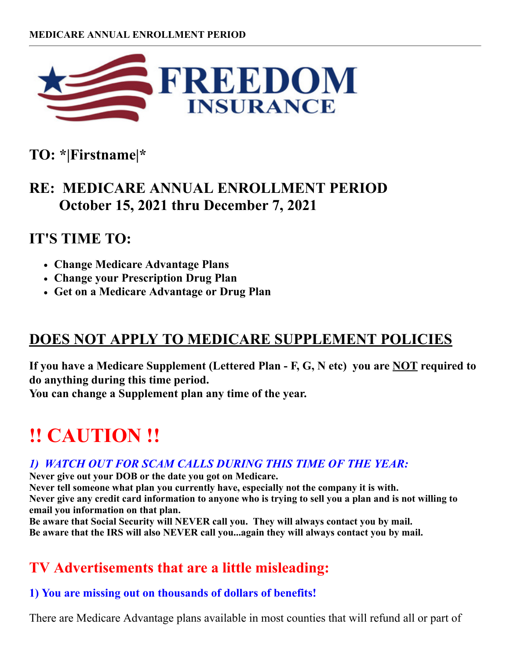

**TO: \*|Firstname|\***

## **RE: MEDICARE ANNUAL ENROLLMENT PERIOD October 15, 2021 thru December 7, 2021**

## **IT'S TIME TO:**

- **Change Medicare Advantage Plans**
- **Change your Prescription Drug Plan**
- **Get on a Medicare Advantage or Drug Plan**

## **DOES NOT APPLY TO MEDICARE SUPPLEMENT POLICIES**

**If you have a Medicare Supplement (Lettered Plan - F, G, N etc) you are NOT required to do anything during this time period.**

**You can change a Supplement plan any time of the year.**

# **!! CAUTION !!**

#### *1) WATCH OUT FOR SCAM CALLS DURING THIS TIME OF THE YEAR:*

**Never give out your DOB or the date you got on Medicare.**

**Never tell someone what plan you currently have, especially not the company it is with. Never give any credit card information to anyone who is trying to sell you a plan and is not willing to email you information on that plan.**

**Be aware that Social Security will NEVER call you. They will always contact you by mail. Be aware that the IRS will also NEVER call you...again they will always contact you by mail.**

## **TV Advertisements that are a little misleading:**

#### **1) You are missing out on thousands of dollars of benefits!**

There are Medicare Advantage plans available in most counties that will refund all or part of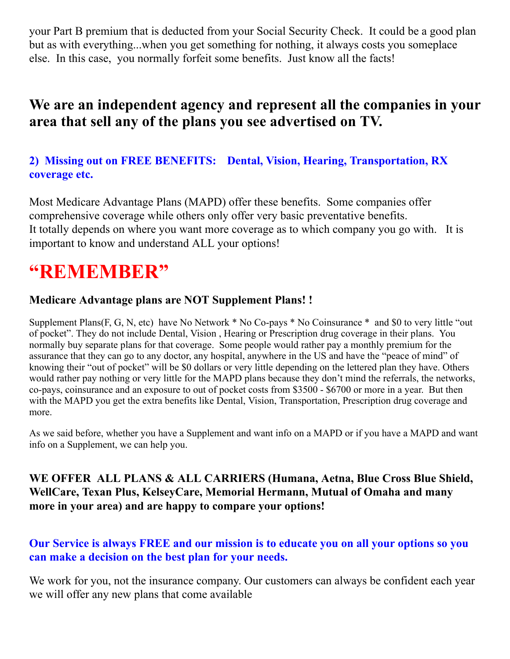your Part B premium that is deducted from your Social Security Check. It could be a good plan but as with everything...when you get something for nothing, it always costs you someplace else. In this case, you normally forfeit some benefits. Just know all the facts!

## **We are an independent agency and represent all the companies in your area that sell any of the plans you see advertised on TV.**

#### **2) Missing out on FREE BENEFITS: Dental, Vision, Hearing, Transportation, RX coverage etc.**

Most Medicare Advantage Plans (MAPD) offer these benefits. Some companies offer comprehensive coverage while others only offer very basic preventative benefits. It totally depends on where you want more coverage as to which company you go with. It is important to know and understand ALL your options!

## **"REMEMBER"**

#### **Medicare Advantage plans are NOT Supplement Plans! !**

Supplement Plans(F, G, N, etc) have No Network \* No Co-pays \* No Coinsurance \* and \$0 to very little "out of pocket". They do not include Dental, Vision , Hearing or Prescription drug coverage in their plans. You normally buy separate plans for that coverage. Some people would rather pay a monthly premium for the assurance that they can go to any doctor, any hospital, anywhere in the US and have the "peace of mind" of knowing their "out of pocket" will be \$0 dollars or very little depending on the lettered plan they have. Others would rather pay nothing or very little for the MAPD plans because they don't mind the referrals, the networks, co-pays, coinsurance and an exposure to out of pocket costs from \$3500 - \$6700 or more in a year. But then with the MAPD you get the extra benefits like Dental, Vision, Transportation, Prescription drug coverage and more.

As we said before, whether you have a Supplement and want info on a MAPD or if you have a MAPD and want info on a Supplement, we can help you.

#### **WE OFFER ALL PLANS & ALL CARRIERS (Humana, Aetna, Blue Cross Blue Shield, WellCare, Texan Plus, KelseyCare, Memorial Hermann, Mutual of Omaha and many more in your area) and are happy to compare your options!**

#### **Our Service is always FREE and our mission is to educate you on all your options so you can make a decision on the best plan for your needs.**

We work for you, not the insurance company. Our customers can always be confident each year we will offer any new plans that come available